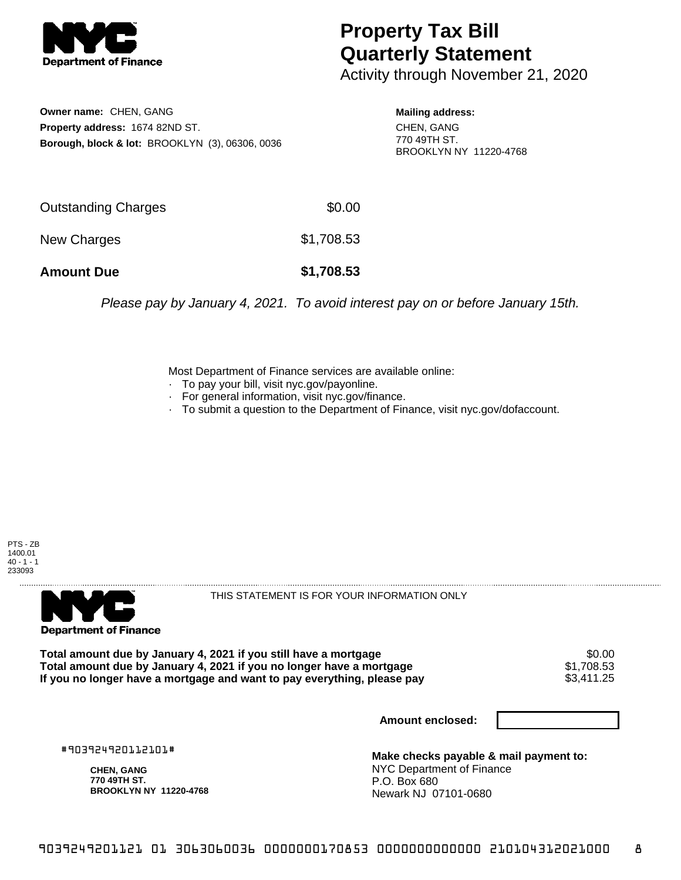

## **Property Tax Bill Quarterly Statement**

Activity through November 21, 2020

**Owner name:** CHEN, GANG **Property address:** 1674 82ND ST. **Borough, block & lot:** BROOKLYN (3), 06306, 0036

**Mailing address:** CHEN, GANG 770 49TH ST. BROOKLYN NY 11220-4768

| <b>Amount Due</b>   | \$1,708.53 |
|---------------------|------------|
| New Charges         | \$1,708.53 |
| Outstanding Charges | \$0.00     |

Please pay by January 4, 2021. To avoid interest pay on or before January 15th.

Most Department of Finance services are available online:

- · To pay your bill, visit nyc.gov/payonline.
- For general information, visit nyc.gov/finance.
- · To submit a question to the Department of Finance, visit nyc.gov/dofaccount.





THIS STATEMENT IS FOR YOUR INFORMATION ONLY

Total amount due by January 4, 2021 if you still have a mortgage \$0.00<br>Total amount due by January 4, 2021 if you no longer have a mortgage \$1.708.53 **Total amount due by January 4, 2021 if you no longer have a mortgage**  $$1,708.53$ **<br>If you no longer have a mortgage and want to pay everything, please pay <b>show that the summan set of the s** If you no longer have a mortgage and want to pay everything, please pay

**Amount enclosed:**

#903924920112101#

**CHEN, GANG 770 49TH ST. BROOKLYN NY 11220-4768**

**Make checks payable & mail payment to:** NYC Department of Finance P.O. Box 680 Newark NJ 07101-0680